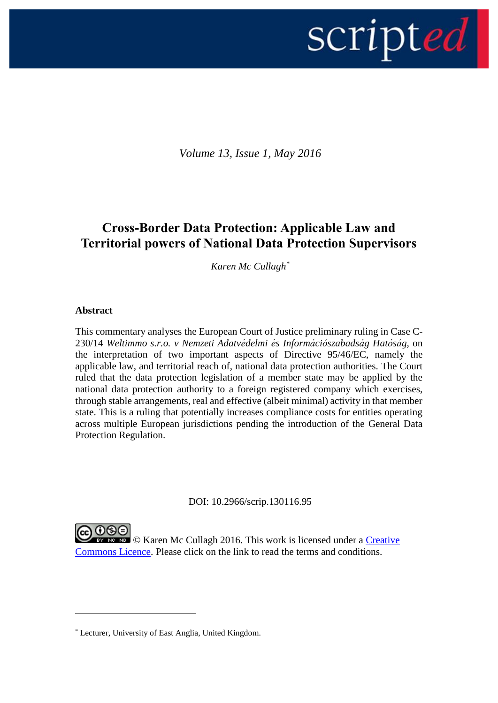

*Volume 13, Issue 1, May 2016*

# **Cross-Border Data Protection: Applicable Law and Territorial powers of National Data Protection Supervisors**

*Karen Mc Cullagh\**

# **Abstract**

1

This commentary analyses the European Court of Justice preliminary ruling in Case C-230/14 *Weltimmo s.r.o. v Nemzeti Adatvédelmi és Információszabadság Hatóság,* on the interpretation of two important aspects of Directive 95/46/EC, namely the applicable law, and territorial reach of, national data protection authorities*.* The Court ruled that the data protection legislation of a member state may be applied by the national data protection authority to a foreign registered company which exercises, through stable arrangements, real and effective (albeit minimal) activity in that member state. This is a ruling that potentially increases compliance costs for entities operating across multiple European jurisdictions pending the introduction of the General Data Protection Regulation.

DOI: 10.2966/scrip.130116.95

**OSO**<br>Example The Cullagh 2016. This work is licensed under a Creative [Commons Licence.](http://creativecommons.org/licenses/by-nc-nd/2.5/scotland/) Please click on the link to read the terms and conditions.

<sup>\*</sup> Lecturer, University of East Anglia, United Kingdom.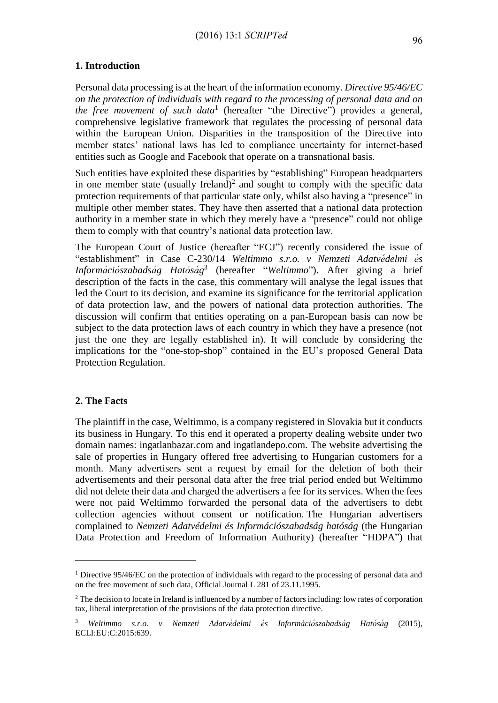# **1. Introduction**

Personal data processing is at the heart of the information economy. *Directive 95/46/EC on the protection of individuals with regard to the processing of personal data and on the free movement of such data*<sup>1</sup> (hereafter "the Directive") provides a general, comprehensive legislative framework that regulates the processing of personal data within the European Union. Disparities in the transposition of the Directive into member states' national laws has led to compliance uncertainty for internet-based entities such as Google and Facebook that operate on a transnational basis.

Such entities have exploited these disparities by "establishing" European headquarters in one member state (usually Ireland)<sup>2</sup> and sought to comply with the specific data protection requirements of that particular state only, whilst also having a "presence" in multiple other member states. They have then asserted that a national data protection authority in a member state in which they merely have a "presence" could not oblige them to comply with that country's national data protection law.

The European Court of Justice (hereafter "ECJ") recently considered the issue of "establishment" in Case C-230/14 *Weltimmo s.r.o. v Nemzeti Adatvédelmi és Információszabadság Hatóság* 3 (hereafter "*Weltimmo*"). After giving a brief description of the facts in the case, this commentary will analyse the legal issues that led the Court to its decision, and examine its significance for the territorial application of data protection law, and the powers of national data protection authorities. The discussion will confirm that entities operating on a pan-European basis can now be subject to the data protection laws of each country in which they have a presence (not just the one they are legally established in). It will conclude by considering the implications for the "one-stop-shop" contained in the EU's proposed General Data Protection Regulation.

## **2. The Facts**

1

The plaintiff in the case, Weltimmo, is a company registered in Slovakia but it conducts its business in Hungary. To this end it operated a property dealing website under two domain names: ingatlanbazar.com and ingatlandepo.com. The website advertising the sale of properties in Hungary offered free advertising to Hungarian customers for a month. Many advertisers sent a request by email for the deletion of both their advertisements and their personal data after the free trial period ended but Weltimmo did not delete their data and charged the advertisers a fee for its services. When the fees were not paid Weltimmo forwarded the personal data of the advertisers to debt collection agencies without consent or notification. The Hungarian advertisers complained to *Nemzeti Adatvédelmi és Információszabadság hatóság* (the Hungarian Data Protection and Freedom of Information Authority) (hereafter "HDPA") that

<sup>&</sup>lt;sup>1</sup> Directive 95/46/EC on the protection of individuals with regard to the processing of personal data and on the free movement of such data, Official Journal L 281 of 23.11.1995.

<sup>&</sup>lt;sup>2</sup> The decision to locate in Ireland is influenced by a number of factors including: low rates of corporation tax, liberal interpretation of the provisions of the data protection directive.

<sup>3</sup> *Weltimmo s.r.o. v Nemzeti Adatvédelmi és Információszabadság Hatóság* (2015), ECLI:EU:C:2015:639.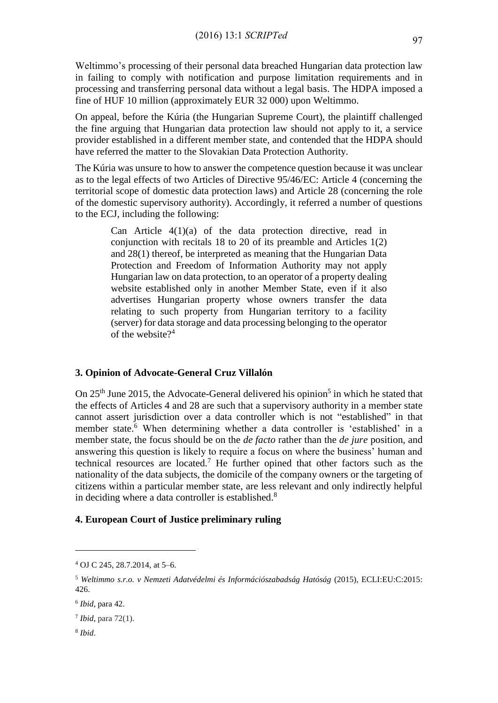Weltimmo's processing of their personal data breached Hungarian data protection law in failing to comply with notification and purpose limitation requirements and in processing and transferring personal data without a legal basis. The HDPA imposed a fine of HUF 10 million (approximately EUR 32 000) upon Weltimmo.

On appeal, before the Kúria (the Hungarian Supreme Court), the plaintiff challenged the fine arguing that Hungarian data protection law should not apply to it, a service provider established in a different member state, and contended that the HDPA should have referred the matter to the Slovakian Data Protection Authority.

The Kúria was unsure to how to answer the competence question because it was unclear as to the legal effects of two Articles of Directive 95/46/EC: Article 4 (concerning the territorial scope of domestic data protection laws) and Article 28 (concerning the role of the domestic supervisory authority). Accordingly, it referred a number of questions to the ECJ, including the following:

> Can Article 4(1)(a) of the data protection directive, read in conjunction with recitals 18 to 20 of its preamble and Articles 1(2) and 28(1) thereof, be interpreted as meaning that the Hungarian Data Protection and Freedom of Information Authority may not apply Hungarian law on data protection, to an operator of a property dealing website established only in another Member State, even if it also advertises Hungarian property whose owners transfer the data relating to such property from Hungarian territory to a facility (server) for data storage and data processing belonging to the operator of the website $?^4$

# **3. Opinion of Advocate-General Cruz Villalón**

On  $25<sup>th</sup>$  June 2015, the Advocate-General delivered his opinion<sup>5</sup> in which he stated that the effects of Articles 4 and 28 are such that a supervisory authority in a member state cannot assert jurisdiction over a data controller which is not "established" in that member state. <sup>6</sup> When determining whether a data controller is 'established' in a member state, the focus should be on the *de facto* rather than the *de jure* position, and answering this question is likely to require a focus on where the business' human and technical resources are located.<sup>7</sup> He further opined that other factors such as the nationality of the data subjects, the domicile of the company owners or the targeting of citizens within a particular member state, are less relevant and only indirectly helpful in deciding where a data controller is established.<sup>8</sup>

#### **4. European Court of Justice preliminary ruling**

1

<sup>4</sup> OJ C 245, 28.7.2014, at 5–6.

<sup>5</sup> *Weltimmo s.r.o. v Nemzeti Adatvédelmi és Információszabadság Hatóság* (2015), ECLI:EU:C:2015: 426.

<sup>6</sup> *Ibid*, para 42.

<sup>7</sup> *Ibid*, para 72(1).

<sup>8</sup> *Ibid*.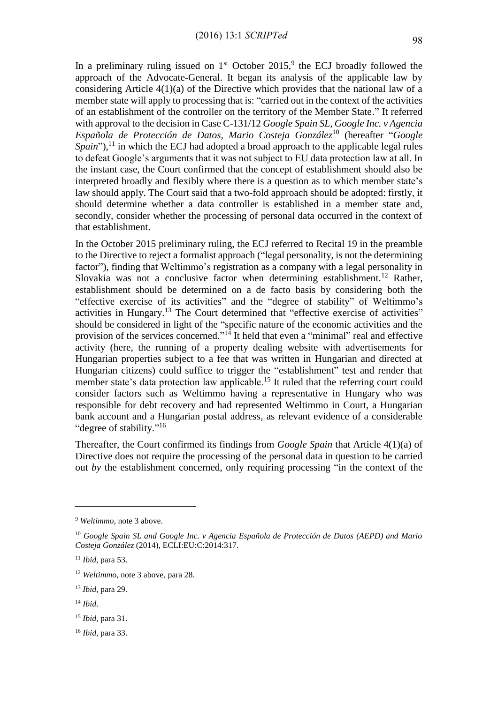In a preliminary ruling issued on  $1<sup>st</sup>$  October 2015,<sup>9</sup> the ECJ broadly followed the approach of the Advocate-General. It began its analysis of the applicable law by considering Article 4(1)(a) of the Directive which provides that the national law of a member state will apply to processing that is: "carried out in the context of the activities of an establishment of the controller on the territory of the Member State." It referred with approval to the decision in Case C-131/12 *Google Spain SL, Google Inc. v Agencia Española de Protección de Datos, Mario Costeja González*<sup>10</sup> (hereafter "*Google*  Spain"),<sup>11</sup> in which the ECJ had adopted a broad approach to the applicable legal rules to defeat Google's arguments that it was not subject to EU data protection law at all. In the instant case, the Court confirmed that the concept of establishment should also be interpreted broadly and flexibly where there is a question as to which member state's law should apply. The Court said that a two-fold approach should be adopted: firstly, it should determine whether a data controller is established in a member state and, secondly, consider whether the processing of personal data occurred in the context of that establishment.

In the October 2015 preliminary ruling, the ECJ referred to Recital 19 in the preamble to the Directive to reject a formalist approach ("legal personality, is not the determining factor"), finding that Weltimmo's registration as a company with a legal personality in Slovakia was not a conclusive factor when determining establishment.<sup>12</sup> Rather, establishment should be determined on a de facto basis by considering both the "effective exercise of its activities" and the "degree of stability" of Weltimmo's activities in Hungary.<sup>13</sup> The Court determined that "effective exercise of activities" should be considered in light of the "specific nature of the economic activities and the provision of the services concerned."<sup>14</sup> It held that even a "minimal" real and effective activity (here, the running of a property dealing website with advertisements for Hungarian properties subject to a fee that was written in Hungarian and directed at Hungarian citizens) could suffice to trigger the "establishment" test and render that member state's data protection law applicable.<sup>15</sup> It ruled that the referring court could consider factors such as Weltimmo having a representative in Hungary who was responsible for debt recovery and had represented Weltimmo in Court, a Hungarian bank account and a Hungarian postal address, as relevant evidence of a considerable "degree of stability."<sup>16</sup>

Thereafter, the Court confirmed its findings from *Google Spain* that Article 4(1)(a) of Directive does not require the processing of the personal data in question to be carried out *by* the establishment concerned, only requiring processing "in the context of the

<u>.</u>

<sup>9</sup> *Weltimmo*, note 3 above.

<sup>10</sup> *Google Spain SL and Google Inc. v Agencia Española de Protección de Datos (AEPD) and Mario Costeja González* (2014), ECLI:EU:C:2014:317.

<sup>11</sup> *Ibid*, para 53.

<sup>12</sup> *Weltimmo*, note 3 above, para 28.

<sup>13</sup> *Ibid*, para 29.

<sup>14</sup> *Ibid*.

<sup>15</sup> *Ibid*, para 31.

<sup>16</sup> *Ibid*, para 33.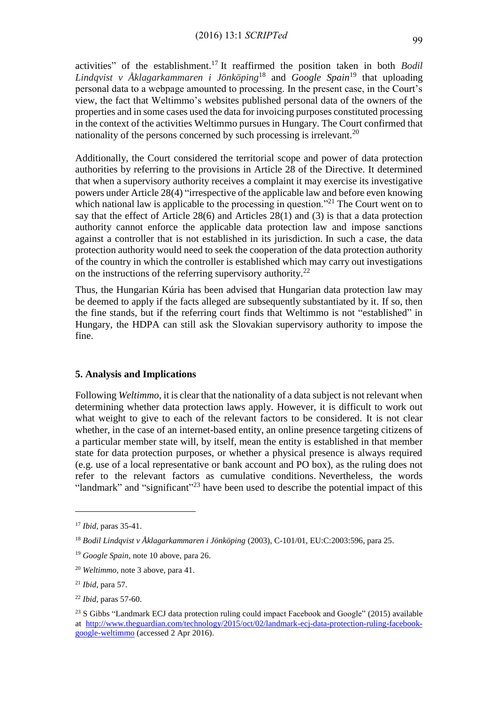activities" of the establishment.<sup>17</sup> It reaffirmed the position taken in both *Bodil Lindqvist v Åklagarkammaren i Jönköping*<sup>18</sup> and *Google Spain*<sup>19</sup> that uploading personal data to a webpage amounted to processing. In the present case, in the Court's view, the fact that Weltimmo's websites published personal data of the owners of the properties and in some cases used the data for invoicing purposes constituted processing in the context of the activities Weltimmo pursues in Hungary. The Court confirmed that nationality of the persons concerned by such processing is irrelevant.<sup>20</sup>

Additionally, the Court considered the territorial scope and power of data protection authorities by referring to the provisions in Article 28 of the Directive. It determined that when a supervisory authority receives a complaint it may exercise its investigative powers under Article 28(4) "irrespective of the applicable law and before even knowing which national law is applicable to the processing in question."<sup>21</sup> The Court went on to say that the effect of Article 28(6) and Articles 28(1) and (3) is that a data protection authority cannot enforce the applicable data protection law and impose sanctions against a controller that is not established in its jurisdiction. In such a case, the data protection authority would need to seek the cooperation of the data protection authority of the country in which the controller is established which may carry out investigations on the instructions of the referring supervisory authority.<sup>22</sup>

Thus, the Hungarian Kúria has been advised that Hungarian data protection law may be deemed to apply if the facts alleged are subsequently substantiated by it. If so, then the fine stands, but if the referring court finds that Weltimmo is not "established" in Hungary, the HDPA can still ask the Slovakian supervisory authority to impose the fine.

#### **5. Analysis and Implications**

Following *Weltimmo*, it is clear that the nationality of a data subject is not relevant when determining whether data protection laws apply. However, it is difficult to work out what weight to give to each of the relevant factors to be considered. It is not clear whether, in the case of an internet-based entity, an online presence targeting citizens of a particular member state will, by itself, mean the entity is established in that member state for data protection purposes, or whether a physical presence is always required (e.g. use of a local representative or bank account and PO box), as the ruling does not refer to the relevant factors as cumulative conditions. Nevertheless, the words "landmark" and "significant"<sup>23</sup> have been used to describe the potential impact of this

<u>.</u>

<sup>17</sup> *Ibid*, paras 35-41.

<sup>18</sup> *Bodil Lindqvist v Åklagarkammaren i Jönköping* (2003), C-101/01, EU:C:2003:596, para 25.

<sup>19</sup> *Google Spain*, note 10 above, para 26.

<sup>20</sup> *Weltimmo,* note 3 above, para 41.

<sup>21</sup> *Ibid*, para 57.

<sup>22</sup> *Ibid*, paras 57-60.

<sup>&</sup>lt;sup>23</sup> S Gibbs "Landmark ECJ data protection ruling could impact Facebook and Google" (2015) available at [http://www.theguardian.com/technology/2015/oct/02/landmark-ecj-data-protection-ruling-facebook](http://www.theguardian.com/technology/2015/oct/02/landmark-ecj-data-protection-ruling-facebook-google-weltimmo)[google-weltimmo](http://www.theguardian.com/technology/2015/oct/02/landmark-ecj-data-protection-ruling-facebook-google-weltimmo) (accessed 2 Apr 2016).